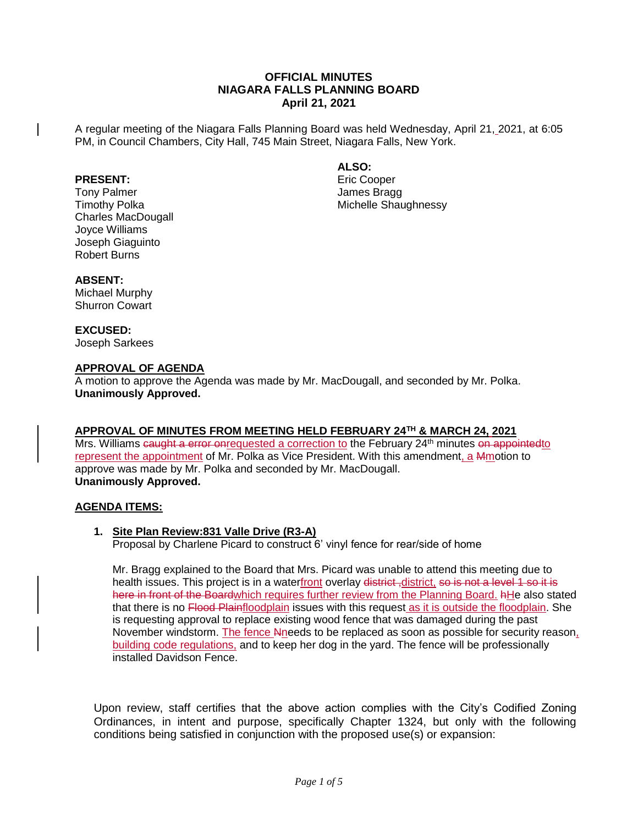# **OFFICIAL MINUTES NIAGARA FALLS PLANNING BOARD April 21, 2021**

A regular meeting of the Niagara Falls Planning Board was held Wednesday, April 21, 2021, at 6:05 PM, in Council Chambers, City Hall, 745 Main Street, Niagara Falls, New York.

## **PRESENT:**

Tony Palmer Timothy Polka Charles MacDougall Joyce Williams Joseph Giaguinto Robert Burns

**ALSO:**

Eric Cooper James Bragg Michelle Shaughnessy

# **ABSENT:**

Michael Murphy Shurron Cowart

## **EXCUSED:**

Joseph Sarkees

# **APPROVAL OF AGENDA**

A motion to approve the Agenda was made by Mr. MacDougall, and seconded by Mr. Polka. **Unanimously Approved.**

# **APPROVAL OF MINUTES FROM MEETING HELD FEBRUARY 24TH & MARCH 24, 2021**

Mrs. Williams caught a error onrequested a correction to the February 24<sup>th</sup> minutes on appointedto represent the appointment of Mr. Polka as Vice President. With this amendment, a Mmotion to approve was made by Mr. Polka and seconded by Mr. MacDougall. **Unanimously Approved.**

## **AGENDA ITEMS:**

## **1. Site Plan Review:831 Valle Drive (R3-A)**

Proposal by Charlene Picard to construct 6' vinyl fence for rear/side of home

Mr. Bragg explained to the Board that Mrs. Picard was unable to attend this meeting due to health issues. This project is in a waterfront overlay district, district, so is not a level 1 so it is here in front of the Boardwhich requires further review from the Planning Board. AHe also stated that there is no Flood Plainfloodplain issues with this request as it is outside the floodplain. She is requesting approval to replace existing wood fence that was damaged during the past November windstorm. The fence Nneeds to be replaced as soon as possible for security reason, building code regulations, and to keep her dog in the yard. The fence will be professionally installed Davidson Fence.

Upon review, staff certifies that the above action complies with the City's Codified Zoning Ordinances, in intent and purpose, specifically Chapter 1324, but only with the following conditions being satisfied in conjunction with the proposed use(s) or expansion: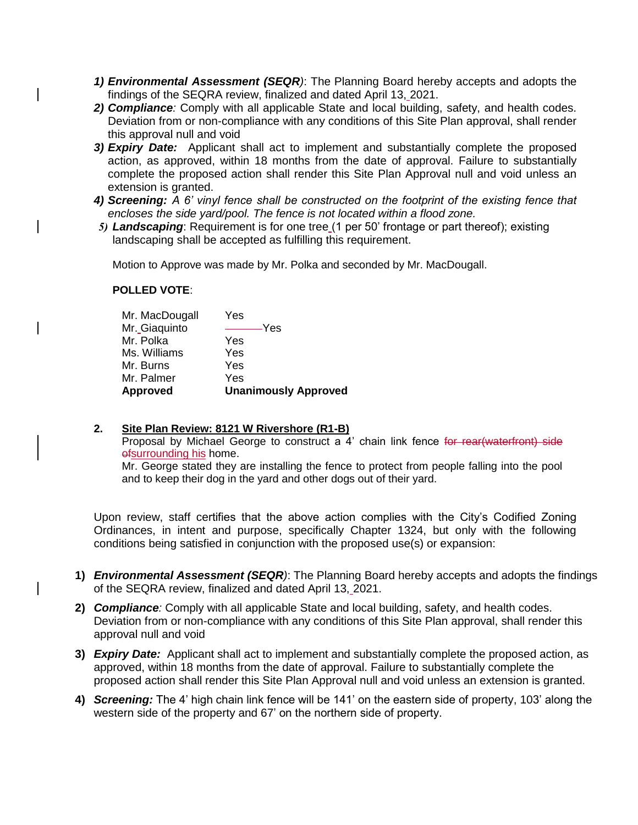- *1) Environmental Assessment (SEQR)*: The Planning Board hereby accepts and adopts the findings of the SEQRA review, finalized and dated April 13, 2021.
- *2) Compliance:* Comply with all applicable State and local building, safety, and health codes. Deviation from or non-compliance with any conditions of this Site Plan approval, shall render this approval null and void
- *3) Expiry Date:* Applicant shall act to implement and substantially complete the proposed action, as approved, within 18 months from the date of approval. Failure to substantially complete the proposed action shall render this Site Plan Approval null and void unless an extension is granted.
- *4) Screening: A 6' vinyl fence shall be constructed on the footprint of the existing fence that encloses the side yard/pool. The fence is not located within a flood zone.*
- 5) **Landscaping**: Requirement is for one tree (1 per 50' frontage or part thereof); existing landscaping shall be accepted as fulfilling this requirement.

Motion to Approve was made by Mr. Polka and seconded by Mr. MacDougall.

# **POLLED VOTE**:

| <b>Approved</b> | <b>Unanimously Approved</b> |
|-----------------|-----------------------------|
| Mr. Palmer      | Yes                         |
| Mr. Burns       | Yes                         |
| Ms. Williams    | Yes                         |
| Mr. Polka       | Yes                         |
| Mr. Giaguinto   | $\rightharpoonup$ Yes       |
| Mr. MacDougall  | Yes                         |

# **2. Site Plan Review: 8121 W Rivershore (R1-B)**

Proposal by Michael George to construct a 4' chain link fence for rear(waterfront) side ofsurrounding his home.

Mr. George stated they are installing the fence to protect from people falling into the pool and to keep their dog in the yard and other dogs out of their yard.

Upon review, staff certifies that the above action complies with the City's Codified Zoning Ordinances, in intent and purpose, specifically Chapter 1324, but only with the following conditions being satisfied in conjunction with the proposed use(s) or expansion:

- **1)** *Environmental Assessment (SEQR)*: The Planning Board hereby accepts and adopts the findings of the SEQRA review, finalized and dated April 13, 2021.
- **2)** *Compliance:* Comply with all applicable State and local building, safety, and health codes. Deviation from or non-compliance with any conditions of this Site Plan approval, shall render this approval null and void
- **3)** *Expiry Date:* Applicant shall act to implement and substantially complete the proposed action, as approved, within 18 months from the date of approval. Failure to substantially complete the proposed action shall render this Site Plan Approval null and void unless an extension is granted.
- **4)** *Screening:* The 4' high chain link fence will be 141' on the eastern side of property, 103' along the western side of the property and 67' on the northern side of property.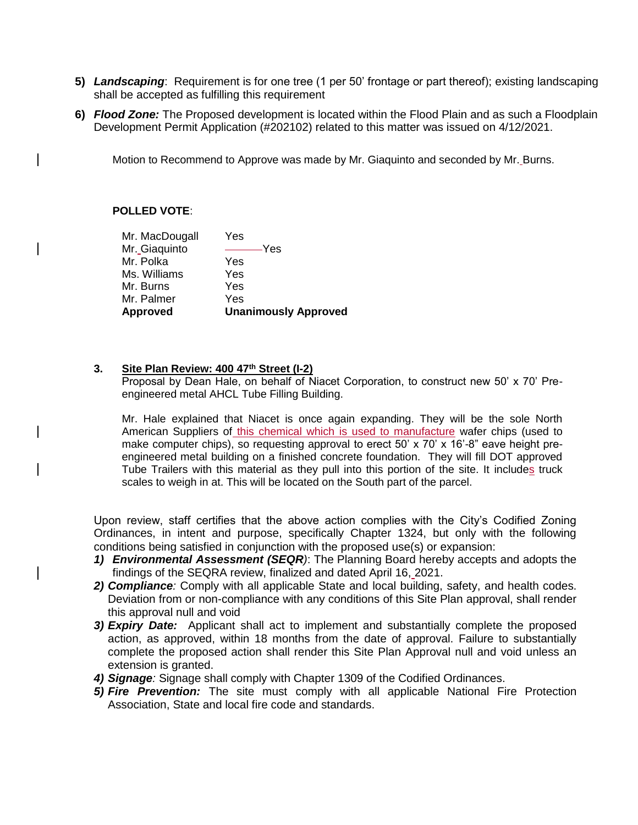- **5)** *Landscaping*: Requirement is for one tree (1 per 50' frontage or part thereof); existing landscaping shall be accepted as fulfilling this requirement
- **6)** *Flood Zone:* The Proposed development is located within the Flood Plain and as such a Floodplain Development Permit Application (#202102) related to this matter was issued on 4/12/2021.

Motion to Recommend to Approve was made by Mr. Giaquinto and seconded by Mr. Burns.

## **POLLED VOTE**:

| Approved       | <b>Unanimously Approved</b> |
|----------------|-----------------------------|
| Mr. Palmer     | Yes                         |
| Mr. Burns      | Yes                         |
| Ms. Williams   | Yes                         |
| Mr. Polka      | Yes                         |
| Mr. Giaguinto  | –Yes                        |
| Mr. MacDougall | Yes                         |

## **3. Site Plan Review: 400 47th Street (I-2)**

Proposal by Dean Hale, on behalf of Niacet Corporation, to construct new 50' x 70' Preengineered metal AHCL Tube Filling Building.

Mr. Hale explained that Niacet is once again expanding. They will be the sole North American Suppliers of this chemical which is used to manufacture wafer chips (used to make computer chips), so requesting approval to erect 50' x 70' x 16'-8" eave height preengineered metal building on a finished concrete foundation. They will fill DOT approved Tube Trailers with this material as they pull into this portion of the site. It includes truck scales to weigh in at. This will be located on the South part of the parcel.

Upon review, staff certifies that the above action complies with the City's Codified Zoning Ordinances, in intent and purpose, specifically Chapter 1324, but only with the following conditions being satisfied in conjunction with the proposed use(s) or expansion:

- *1) Environmental Assessment (SEQR)*: The Planning Board hereby accepts and adopts the findings of the SEQRA review, finalized and dated April 16, 2021.
- *2) Compliance:* Comply with all applicable State and local building, safety, and health codes. Deviation from or non-compliance with any conditions of this Site Plan approval, shall render this approval null and void
- *3) Expiry Date:* Applicant shall act to implement and substantially complete the proposed action, as approved, within 18 months from the date of approval. Failure to substantially complete the proposed action shall render this Site Plan Approval null and void unless an extension is granted.
- *4) Signage:* Signage shall comply with Chapter 1309 of the Codified Ordinances.
- *5) Fire Prevention:* The site must comply with all applicable National Fire Protection Association, State and local fire code and standards.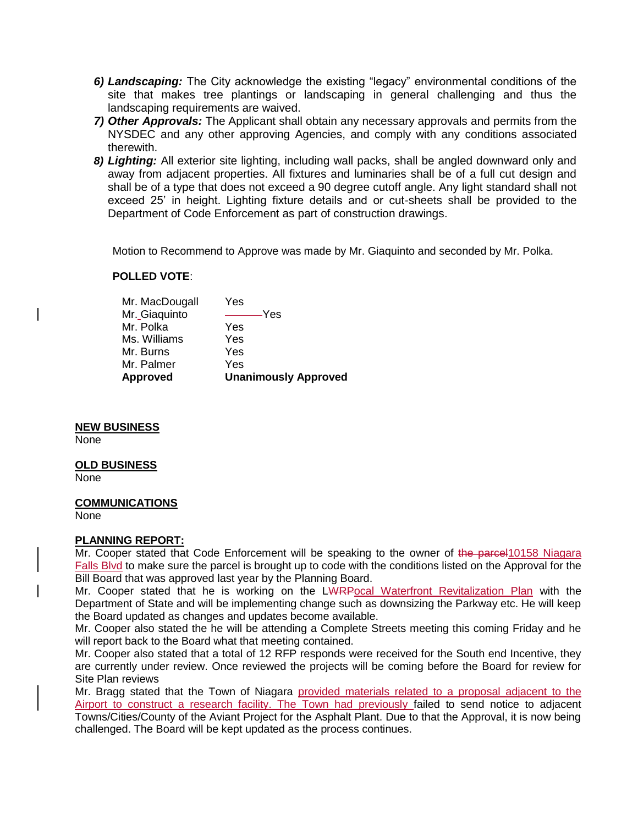- *6) Landscaping:* The City acknowledge the existing "legacy" environmental conditions of the site that makes tree plantings or landscaping in general challenging and thus the landscaping requirements are waived.
- *7) Other Approvals:* The Applicant shall obtain any necessary approvals and permits from the NYSDEC and any other approving Agencies, and comply with any conditions associated therewith.
- *8) Lighting:* All exterior site lighting, including wall packs, shall be angled downward only and away from adjacent properties. All fixtures and luminaries shall be of a full cut design and shall be of a type that does not exceed a 90 degree cutoff angle. Any light standard shall not exceed 25' in height. Lighting fixture details and or cut-sheets shall be provided to the Department of Code Enforcement as part of construction drawings.

Motion to Recommend to Approve was made by Mr. Giaquinto and seconded by Mr. Polka.

## **POLLED VOTE**:

| <b>Approved</b> | <b>Unanimously Approved</b> |
|-----------------|-----------------------------|
| Mr. Palmer      | Yes                         |
| Mr. Burns       | Yes                         |
| Ms. Williams    | Yes                         |
| Mr. Polka       | Yes                         |
| Mr. Giaguinto   | $-$ Yes                     |
| Mr. MacDougall  | Yes                         |

## **NEW BUSINESS**

None

#### **OLD BUSINESS**

None

#### **COMMUNICATIONS**

None

## **PLANNING REPORT:**

Mr. Cooper stated that Code Enforcement will be speaking to the owner of the parcel10158 Niagara Falls Blvd to make sure the parcel is brought up to code with the conditions listed on the Approval for the Bill Board that was approved last year by the Planning Board.

Mr. Cooper stated that he is working on the LWRPocal Waterfront Revitalization Plan with the Department of State and will be implementing change such as downsizing the Parkway etc. He will keep the Board updated as changes and updates become available.

Mr. Cooper also stated the he will be attending a Complete Streets meeting this coming Friday and he will report back to the Board what that meeting contained.

Mr. Cooper also stated that a total of 12 RFP responds were received for the South end Incentive, they are currently under review. Once reviewed the projects will be coming before the Board for review for Site Plan reviews

Mr. Bragg stated that the Town of Niagara provided materials related to a proposal adjacent to the Airport to construct a research facility. The Town had previously failed to send notice to adjacent Towns/Cities/County of the Aviant Project for the Asphalt Plant. Due to that the Approval, it is now being challenged. The Board will be kept updated as the process continues.